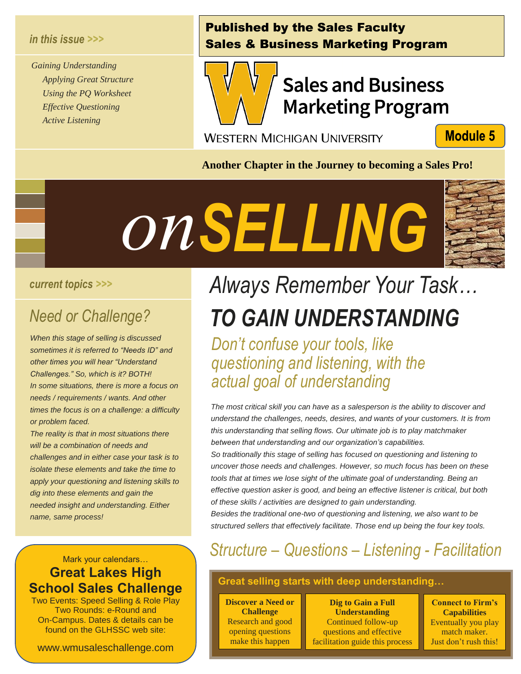#### *in this issue >>>*

*Gaining Understanding Applying Great Structure Using the PQ Worksheet Effective Questioning Active Listening*

#### Published by the Sales Faculty Sales & Business Marketing Program



# **Sales and Business Marketing Program**

**WESTERN MICHIGAN UNIVERSITY** 

**Module 5** 

**Another Chapter in the Journey to becoming a Sales Pro!**



#### *current topics >>>*

# *Need or Challenge? Se*

*When this stage of selling is discussed sometimes it is referred to "Needs ID" and other times you will hear "Understand Challenges." So, which is it? BOTH! In some situations, there is more a focus on needs / requirements / wants. And other times the focus is on a challenge: a difficulty or problem faced.*

*The reality is that in most situations there will be a combination of needs and challenges and in either case your task is to isolate these elements and take the time to apply your questioning and listening skills to dig into these elements and gain the needed insight and understanding. Either name, same process!*

#### Mark your calendars… **Great Lakes High School Sales Challenge**

Two Events: Speed Selling & Role Play Two Rounds: e-Round and On-Campus. Dates & details can be found on the GLHSSC web site:

www.wmusaleschallenge.com

# *Always Remember Your Task… TO GAIN UNDERSTANDING*

*Don't confuse your tools, like questioning and listening, with the actual goal of understanding*

*The most critical skill you can have as a salesperson is the ability to discover and understand the challenges, needs, desires, and wants of your customers. It is from this understanding that selling flows. Our ultimate job is to play matchmaker between that understanding and our organization's capabilities.*

*So traditionally this stage of selling has focused on questioning and listening to uncover those needs and challenges. However, so much focus has been on these tools that at times we lose sight of the ultimate goal of understanding. Being an effective question asker is good, and being an effective listener is critical, but both of these skills / activities are designed to gain understanding.*

*Besides the traditional one-two of questioning and listening, we also want to be structured sellers that effectively facilitate. Those end up being the four key tools.* 

## *Structure – Questions – Listening - Facilitation*

#### **Great selling starts with deep understanding…**

**Discover a Need or Challenge** Research and good opening questions make this happen

i<br>I **Dig to Gain a Full Understanding** Continued follow-up questions and effective facilitation guide this process

**Connect to Firm's Capabilities** Eventually you play match maker. Just don't rush this!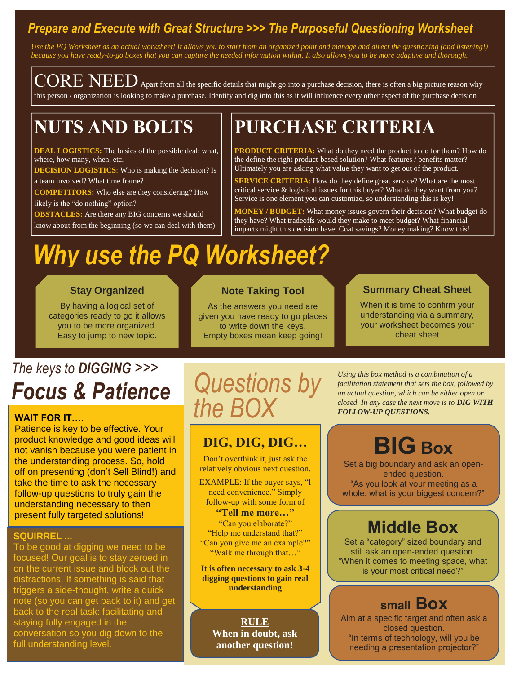### *Prepare and Execute with Great Structure >>> The Purposeful Questioning Worksheet*

*Use the PQ Worksheet as an actual worksheet! It allows you to start from an organized point and manage and direct the questioning (and listening!) because you have ready-to-go boxes that you can capture the needed information within. It also allows you to be more adaptive and thorough.*

 $\widehat{\text{CORE NED}}$  Apart from all the specific details that might go into a purchase decision, there is often a big picture reason why this person / organization is looking to make a purchase. Identify and dig into this as it will influence every other aspect of the purchase decision

## **NUTS AND BOLTS**

# **PURCHASE CRITERIA**

**DEAL LOGISTICS:** The basics of the possible deal: what, where, how many, when, etc.

**DECISION LOGISTICS:** Who is making the decision? Is a team involved? What time frame?

**COMPETITORS:** Who else are they considering? How

likely is the "do nothing" option?

**OBSTACLES:** Are there any BIG concerns we should know about from the beginning (so we can deal with them)

**PRODUCT CRITERIA:** What do they need the product to do for them? How do the define the right product-based solution? What features / benefits matter? Ultimately you are asking what value they want to get out of the product.

**SERVICE CRITERIA:** How do they define great service? What are the most critical service & logistical issues for this buyer? What do they want from you? Service is one element you can customize, so understanding this is key!

**MONEY / BUDGET:** What money issues govern their decision? What budget do they have? What tradeoffs would they make to meet budget? What financial impacts might this decision have: Coat savings? Money making? Know this!

# *Why use the PQ Worksheet?*

#### **Stay Organized**

By having a logical set of categories ready to go it allows you to be more organized. Easy to jump to new topic.

#### **Note Taking Tool**

As the answers you need are given you have ready to go places to write down the keys. Empty boxes mean keep going!

#### **Summary Cheat Sheet**

When it is time to confirm your understanding via a summary, your worksheet becomes your cheat sheet

# *The keys to DIGGING >>> Focus & Patience Questions by*

#### **WAIT FOR IT….**

Patience is key to be effective. Your product knowledge and good ideas will not vanish because you were patient in the understanding process. So, hold off on presenting (don't Sell Blind!) and take the time to ask the necessary follow-up questions to truly gain the understanding necessary to then present fully targeted solutions!

#### **SQUIRREL ...**

To be good at digging we need to be focused! Our goal is to stay zeroed in on the current issue and block out the distractions. If something is said that triggers a side-thought, write a quick note (so you can get back to it) and get back to the real task: facilitating and staying fully engaged in the conversation so you dig down to the full understanding level.

# *the BOX*

#### **DIG, DIG, DIG…**

Don't overthink it, just ask the relatively obvious next question.

EXAMPLE: If the buyer says, "I need convenience." Simply follow-up with some form of

**"Tell me more…"** "Can you elaborate?" "Help me understand that?" "Can you give me an example?" "Walk me through that…"

**It is often necessary to ask 3-4 digging questions to gain real understanding**

**RULE When in doubt, ask another question!**

*Using this box method is a combination of a facilitation statement that sets the box, followed by an actual question, which can be either open or closed. In any case the next move is to DIG WITH FOLLOW-UP QUESTIONS.*

# **BIG Box**

Set a big boundary and ask an openended question. "As you look at your meeting as a whole, what is your biggest concern?"

## **Middle Box**

Set a "category" sized boundary and still ask an open-ended question. "When it comes to meeting space, what is your most critical need?"

### **small Box**

Aim at a specific target and often ask a closed question. "In terms of technology, will you be needing a presentation projector?"